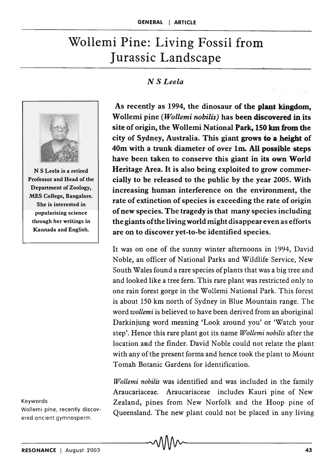## Wollemi Pine: Living Fossil from Jurassic Landscape

## *N S Leela*



N S Leela is a retired Professor and Head of the Department of Zoology, MES College, Bangalore. She is interested in popularising science through her writings in Kannada and English.

## Keywords

Wollemi pine, recently discovered ancient gymnosperm .

As recently as 1994, the dinosaur of the plant kingdom, Wollemi pine *(Wollemi nobilis)* has been discovered in its site of origin, the Wollemi National Park, 150 km from the city of Sydney, Australia. This giant grows to a height of 40m with a trunk diameter of over 1m. AU possible steps have been taken to conserve this giant in its own World Heritage Area. It is also being exploited to grow commercially to be released to the public by the year 2005. With increasing human interference on the environment, the rate of extinction of species is exceeding the rate of origin of new species. The tragedy is that many species including the giants of the living world might disappear even as efforts are on to discover yet-to-be identified species.

It was on one of the sunny winter afternoons in 1994, David Noble, an officer of National Parks and Wildlife Service, New South Wales found a rare species of plants that was a big tree and and looked like a tree fern. This rare plant was restricted only to one rain forest gorge in the W ollemi National Park. This forest is about 150 km north of Sydney in Blue Mountain range. The word *wollemi* is believed to have been derived from an aboriginal Darkinjung word meaning 'Look around you' or 'Watch your step'. Hence this rare plant got its name *Wollemi nobilis* after the location aad the finder. David Noble could not relate the plant with any of the present forms and hence took the plant to Mount Tomah Botanic Gardens for identification.

*Wollemi nobilis* was identified and was included in the family Araucariaceae. Araucariaceae includes Kauri pine of New Zealand, pines from New Norfolk and the Hoop pine of Queensland. The new plant could not be placed in any living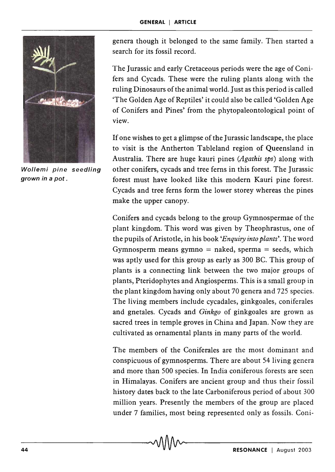

genera though it belonged to the same family. Then started a search for its fossil record.

The Jurassic and early Cretaceous periods were the age of Conifers and Cycads. These were the ruling plants along with the ruling Dinosaurs of the animal world. Just as this period is called 'The Golden Age of Reptiles' it could also be called 'Golden Age of Conifers and Pines' from the phytopaleontological point of view.

If one wishes to get a glimpse of the Jurassic landscape, the place to visit is the Antherton Tableland region of Queensland in Australia. There are huge kauri pines *(Agathis sps)* along with Wollemi pine seedling other conifers, cycads and tree ferns in this forest. The Jurassic grown in a pot. **forest must have looked like this modern Kauri pine forest.** Cycads and tree ferns form the lower storey whereas the pines make the upper canopy.

> Conifers and cycads belong to the group Gymnospermae of the plant kingdom. This word was given by Theophrastus, one of the pupils of Aristotle, in his book *'Enquiry into plants'.* The word Gymnosperm means gymno  $=$  naked, sperma  $=$  seeds, which was aptly used for this group as early as 300 BC. This group of plants is a connecting link between the two major groups of plants, Pteridophytes and Angiosperms. This is a small group in the plant kingdom having only about 70 genera and 725 species. The living members include cycadales, ginkgoales, coniferales and gnetales. Cycads and *Ginkgo* of ginkgoales are grown as sacred trees in temple groves in China and Japan. Now they are cultivated as ornamental plants in many parts of the world.

> The members of the Coniferales are the most dominant and conspicuous of gymnosperms. There are about 54 living genera and more than 500 species. In India coniferous forests are seen in Himalayas. Conifers are ancient group and thus their fossil history dates back to the late Carboniferous period of about 300 million years. Presently the members of the group are placed under 7 families, most being represented only as fossils. Coni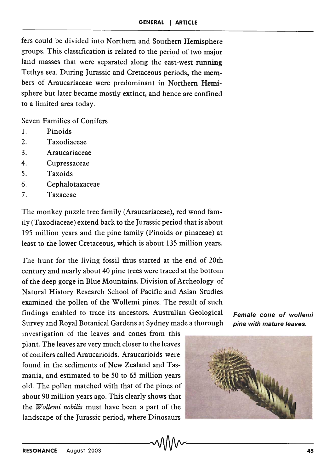fers could be divided into Northern and Southern Hemisphere groups. This classification is related to the period of two major land masses that were separated along the east-west running Tethys sea. During Jurassic and Cretaceous periods, the members of Araucariaceae were predominant in Northern Hemisphere but later became mostly extinct, and hence are confined to a limited area today.

Seven Families of Conifers

- 1. Pinoids
- 2. Taxodiaceae
- 3. Ara ucariaceae
- 4. Cupressaceae
- 5. Taxoids
- 6. Cephalotaxaceae
- 7. Taxaceae

The monkey puzzle tree family (Araucariaceae), red wood family (Taxodiaceae) extend back to the Jurassic period that is about 195 million years and the pine family (Pinoids or pinaceae) at least to the lower Cretaceous, which is about 135 million years.

The hunt for the living fossil thus started at the end of 20th century and nearly about 40 pine trees were traced at the bottom of the deep gorge in Blue Mountains. Division of Archeology of Natural History Research School of Pacific and Asian Studies examined the pollen of the Wollemi pines. The result of such findings enabled to trace its ancestors. Australian Geological Female cone of wollemi Survey and Royal Botanical Gardens at Sydney made a thorough pine with mature leaves.

investigation of the leaves and cones from this plant. The leaves are very much closer to the leaves of conifers called Araucarioids. Araucarioids were found in the sediments of New Zealand and Tasmania, and estimated to be 50 to 65 million years old. The pollen matched with that of the pines of about 90 million years ago. This clearly shows that the *Wollemi nobilis* must have been a part of the landscape of the Jurassic period, where Dinosaurs

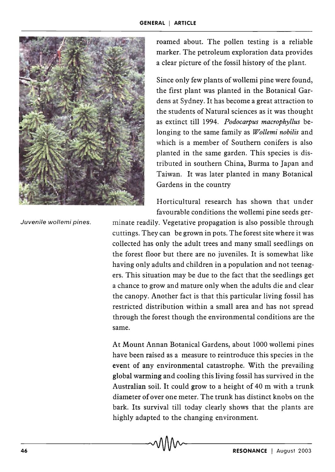

roamed about. The pollen testing is a reliable marker. The petroleum exploration data provides a clear picture of the fossil history of the plant.

Since only few plants of wollemi pine were found, the first plant was planted in the Botanical Gardens at Sydney. It has become a great attraction to the students of Natural sciences as it was thought as extinct till 1994. *Podocarpus macrophyllus* belonging to the same family as *Wollemi nobilis* and which is a member of Southern conifers is also planted in the same garden. This species is distributed in southern China, Burma to Japan and Taiwan. It was later planted in many Botanical Gardens in the country

Horticultural research has shown that under favourable conditions the wollemi pine seeds ger-

Juvenile wollemi pines.

minate readily. Vegetative propagation is also possible through cuttings. They can be grown in pots. The forest site where it was collected has only the adult trees and many small seedlings on the forest floor but there are no juveniles. It is somewhat like having only adults and children in a population and not teenagers. This situation may be due to the fact that the seedlings get a chance to grow and mature only when the adults die and clear the canopy. Another fact is that this particular living fossil has restricted distribution within a small area and has not spread through the forest though the environmental conditions are the same.

At Mount Annan Botanical Gardens, about 1000 wollemi pines have been raised as a measure to reintroduce this species in the event of any environmental catastrophe. With the prevailing global warming and cooling this living fossil has survived in the Australian soil. It could grow to a height of 40 m with a trunk diameter of over one meter. The trunk has distinct knobs on the bark. Its survival till today clearly shows that the plants are highly adapted to the changing environment.